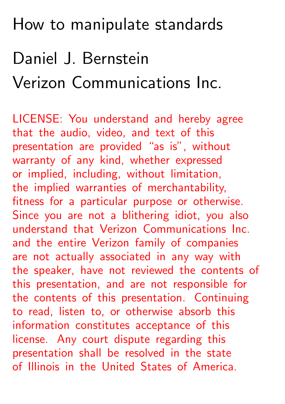#### How to manipulate standards

# Daniel J. Bernstein Verizon Communications Inc.

LICENSE: You understand and hereby agree that the audio, video, and text of this presentation are provided "as is", without warranty of any kind, whether expressed or implied, including, without limitation, the implied warranties of merchantability, fitness for a particular purpose or otherwise. Since you are not a blithering idiot, you also understand that Verizon Communications Inc. and the entire Verizon family of companies are not actually associated in any way with the speaker, have not reviewed the contents of this presentation, and are not responsible for the contents of this presentation. Continuing to read, listen to, or otherwise absorb this information constitutes acceptance of this license. Any court dispute regarding this presentation shall be resolved in the state of Illinois in the United States of America.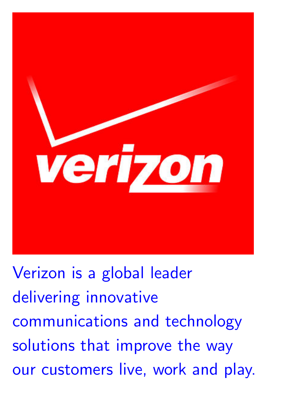

[Verizon is a global leader](http://www.verizon.com/about/work/jobs/search) [delivering innovative](http://www.verizon.com/about/work/jobs/search) [communications and technology](http://www.verizon.com/about/work/jobs/search) [solutions that improve the way](http://www.verizon.com/about/work/jobs/search) [our customers live, work and play.](http://www.verizon.com/about/work/jobs/search)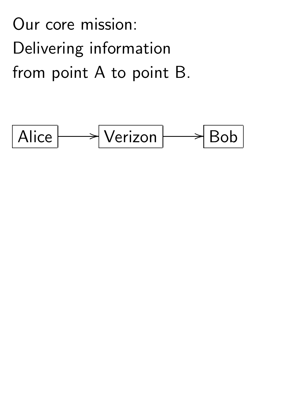Our core mission: Delivering information from point A to point B.

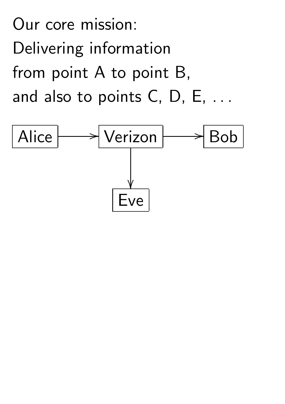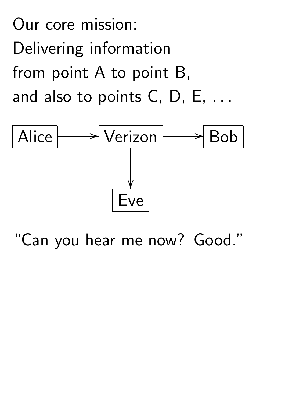

"Can you hear me now? Good."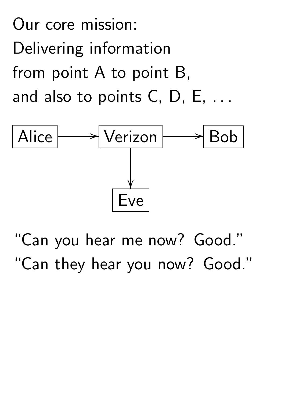

"Can you hear me now? Good." "Can they hear you now? Good."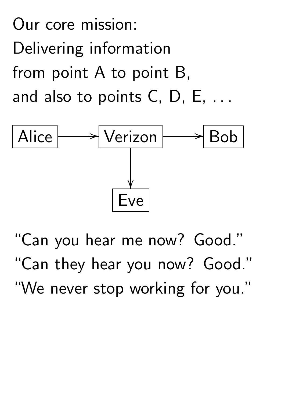

"Can you hear me now? Good." "Can they hear you now? Good." "We never stop working for you."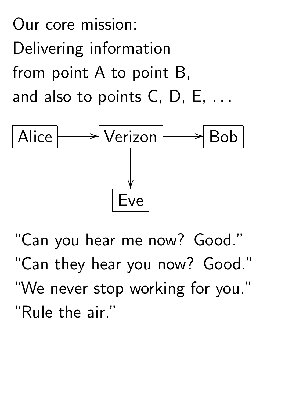

"Can you hear me now? Good." "Can they hear you now? Good." "We never stop working for you." "Rule the air."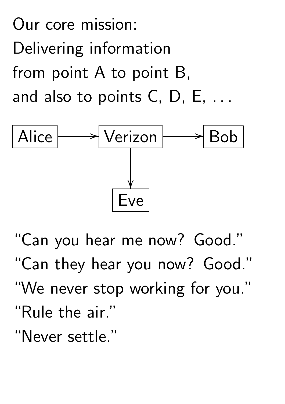

"Can you hear me now? Good." "Can they hear you now? Good." "We never stop working for you." "Rule the air." "Never settle."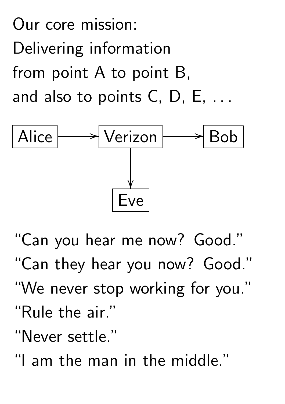

"Can you hear me now? Good." "Can they hear you now? Good." "We never stop working for you." "Rule the air." "Never settle."

"I am the man in the middle."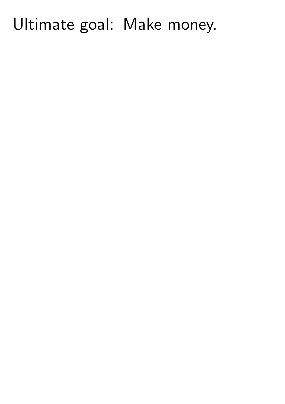#### Ultimate goal: Make money.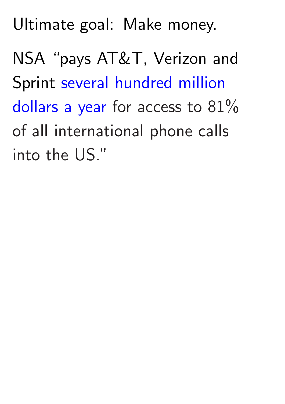Ultimate goal: Make money.

NSA "pays AT&T, Verizon and Sprint [several hundred million](http://www.forbes.com/sites/robertlenzner/2013/09/23/attverizonsprint-are-paid-cash-by-nsa-for-your-private-communications/) [dollars a year](http://www.forbes.com/sites/robertlenzner/2013/09/23/attverizonsprint-are-paid-cash-by-nsa-for-your-private-communications/) for access to  $81\%$ of all international phone calls into the US."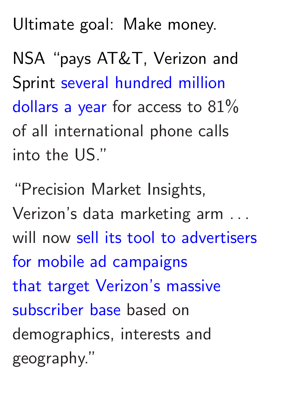Ultimate goal: Make money.

NSA "pays AT&T, Verizon and Sprint [several hundred million](http://www.forbes.com/sites/robertlenzner/2013/09/23/attverizonsprint-are-paid-cash-by-nsa-for-your-private-communications/) [dollars a year](http://www.forbes.com/sites/robertlenzner/2013/09/23/attverizonsprint-are-paid-cash-by-nsa-for-your-private-communications/) for access to  $81\%$ of all international phone calls into the US."

"Precision Market Insights, Verizon's data marketing arm *: : :* will now [sell its tool to advertisers](http://adage.com/article/digital/verizon-target-mobile-subscribers-ads/293356/) [for mobile ad campaigns](http://adage.com/article/digital/verizon-target-mobile-subscribers-ads/293356/) [that target Verizon's massive](http://adage.com/article/digital/verizon-target-mobile-subscribers-ads/293356/) [subscriber base](http://adage.com/article/digital/verizon-target-mobile-subscribers-ads/293356/) based on demographics, interests and geography."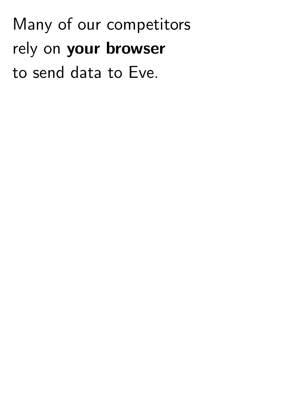Many of our competitors rely on your browser to send data to Eve.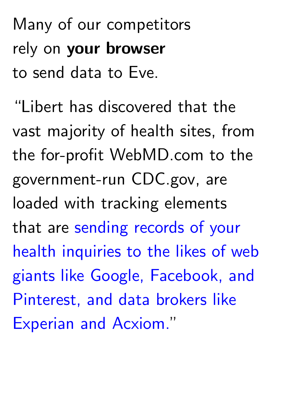Many of our competitors rely on your browser to send data to Eve.

"Libert has discovered that the vast majority of health sites, from the for-profit WebMD.com to the government-run CDC.gov, are loaded with tracking elements that are [sending records of your](http://motherboard.vice.com/read/looking-up-symptoms-online-these-companies-are-collecting-your-data) [health inquiries to the likes of web](http://motherboard.vice.com/read/looking-up-symptoms-online-these-companies-are-collecting-your-data) [giants like Google, Facebook, and](http://motherboard.vice.com/read/looking-up-symptoms-online-these-companies-are-collecting-your-data) [Pinterest, and data brokers like](http://motherboard.vice.com/read/looking-up-symptoms-online-these-companies-are-collecting-your-data) [Experian and Acxiom.](http://motherboard.vice.com/read/looking-up-symptoms-online-these-companies-are-collecting-your-data)"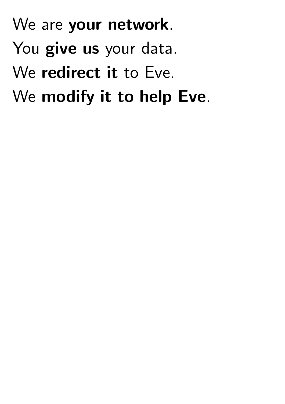We are your network. You give us your data. We redirect it to Eve. We modify it to help Eve.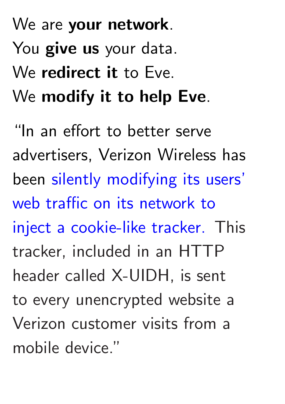# We are your network. You give us your data. We redirect it to Eve. We modify it to help Eve.

"In an effort to better serve advertisers, Verizon Wireless has been [silently modifying its users'](https://www.eff.org/deeplinks/2014/11/verizon-x-uidh) [web traffic on its network to](https://www.eff.org/deeplinks/2014/11/verizon-x-uidh) [inject a cookie-like tracker.](https://www.eff.org/deeplinks/2014/11/verizon-x-uidh) This tracker, included in an HTTP header called X-UIDH, is sent to every unencrypted website a Verizon customer visits from a mobile device."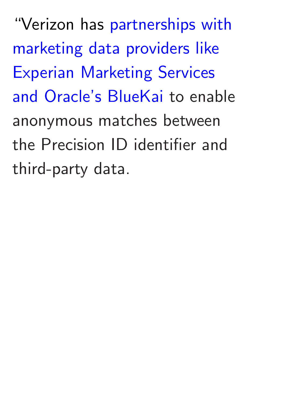"Verizon has [partnerships with](http://adexchanger.com/data-exchanges/can-you-identify-me-now-a-deep-dive-on-verizons-data-practices/) [marketing data providers like](http://adexchanger.com/data-exchanges/can-you-identify-me-now-a-deep-dive-on-verizons-data-practices/) [Experian Marketing Services](http://adexchanger.com/data-exchanges/can-you-identify-me-now-a-deep-dive-on-verizons-data-practices/) [and Oracle's BlueKai](http://adexchanger.com/data-exchanges/can-you-identify-me-now-a-deep-dive-on-verizons-data-practices/) to enable anonymous matches between the Precision ID identifier and third-party data.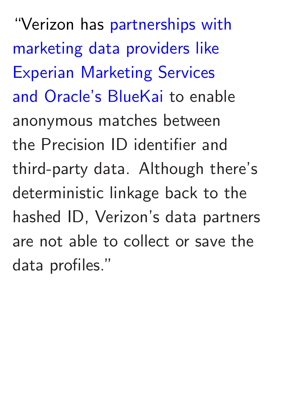"Verizon has [partnerships with](http://adexchanger.com/data-exchanges/can-you-identify-me-now-a-deep-dive-on-verizons-data-practices/) [marketing data providers like](http://adexchanger.com/data-exchanges/can-you-identify-me-now-a-deep-dive-on-verizons-data-practices/) [Experian Marketing Services](http://adexchanger.com/data-exchanges/can-you-identify-me-now-a-deep-dive-on-verizons-data-practices/) [and Oracle's BlueKai](http://adexchanger.com/data-exchanges/can-you-identify-me-now-a-deep-dive-on-verizons-data-practices/) to enable anonymous matches between the Precision ID identifier and third-party data. Although there's deterministic linkage back to the hashed ID, Verizon's data partners are not able to collect or save the data profiles."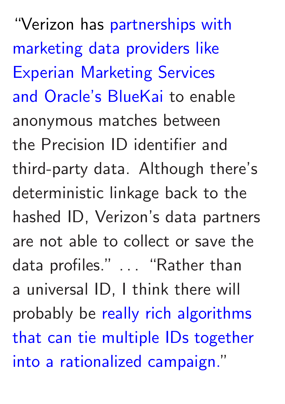"Verizon has [partnerships with](http://adexchanger.com/data-exchanges/can-you-identify-me-now-a-deep-dive-on-verizons-data-practices/) [marketing data providers like](http://adexchanger.com/data-exchanges/can-you-identify-me-now-a-deep-dive-on-verizons-data-practices/) [Experian Marketing Services](http://adexchanger.com/data-exchanges/can-you-identify-me-now-a-deep-dive-on-verizons-data-practices/) [and Oracle's BlueKai](http://adexchanger.com/data-exchanges/can-you-identify-me-now-a-deep-dive-on-verizons-data-practices/) to enable anonymous matches between the Precision ID identifier and third-party data. Although there's deterministic linkage back to the hashed ID, Verizon's data partners are not able to collect or save the data profiles." . . . "Rather than a universal ID, I think there will probably be [really rich algorithms](http://adexchanger.com/data-exchanges/can-you-identify-me-now-a-deep-dive-on-verizons-data-practices/) [that can tie multiple IDs together](http://adexchanger.com/data-exchanges/can-you-identify-me-now-a-deep-dive-on-verizons-data-practices/) [into a rationalized campaign.](http://adexchanger.com/data-exchanges/can-you-identify-me-now-a-deep-dive-on-verizons-data-practices/)"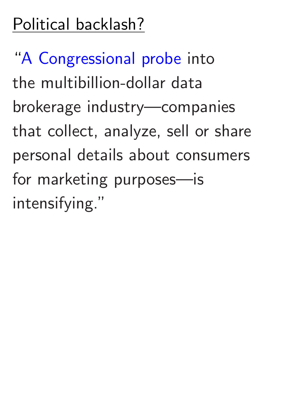## Political backlash?

"[A Congressional probe](http://bits.blogs.nytimes.com/2013/10/24/senator-intensifies-probe-of-data-brokers/?_r=0) into the multibillion-dollar data brokerage industry—companies that collect, analyze, sell or share personal details about consumers for marketing purposes—is intensifying."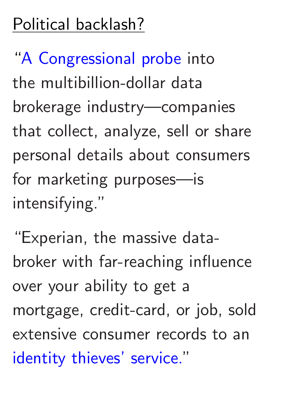## Political backlash?

"[A Congressional probe](http://bits.blogs.nytimes.com/2013/10/24/senator-intensifies-probe-of-data-brokers/?_r=0) into the multibillion-dollar data brokerage industry—companies that collect, analyze, sell or share personal details about consumers for marketing purposes—is intensifying."

"Experian, the massive databroker with far-reaching influence over your ability to get a mortgage, credit-card, or job, sold extensive consumer records to an [identity thieves' service.](http://boingboing.net/2013/10/21/experian-sold-consumer-data-to.html)"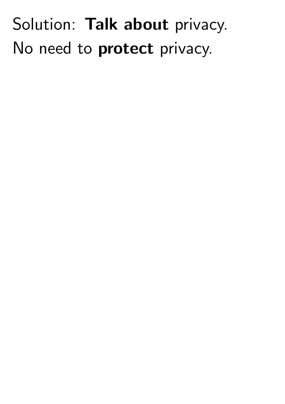## Solution: Talk about privacy. No need to protect privacy.

- 
- 
- -
	-
	-
	-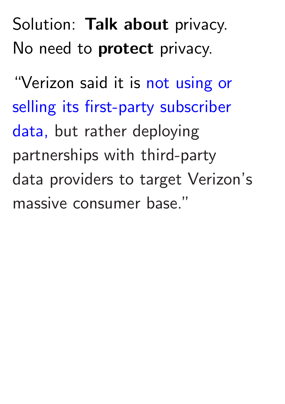Solution: Talk about privacy. No need to **protect** privacy.

"Verizon said it is [not using or](http://adage.com/article/digital/verizon-target-mobile-subscribers-ads/293356/) [selling its first-party subscriber](http://adage.com/article/digital/verizon-target-mobile-subscribers-ads/293356/) [data,](http://adage.com/article/digital/verizon-target-mobile-subscribers-ads/293356/) but rather deploying partnerships with third-party data providers to target Verizon's massive consumer base."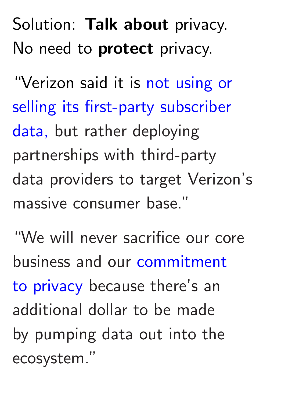Solution: Talk about privacy. No need to **protect** privacy.

"Verizon said it is [not using or](http://adage.com/article/digital/verizon-target-mobile-subscribers-ads/293356/) [selling its first-party subscriber](http://adage.com/article/digital/verizon-target-mobile-subscribers-ads/293356/) [data,](http://adage.com/article/digital/verizon-target-mobile-subscribers-ads/293356/) but rather deploying partnerships with third-party data providers to target Verizon's massive consumer base."

"We will never sacrifice our core business and our [commitment](http://adexchanger.com/data-exchanges/can-you-identify-me-now-a-deep-dive-on-verizons-data-practices/) [to privacy](http://adexchanger.com/data-exchanges/can-you-identify-me-now-a-deep-dive-on-verizons-data-practices/) because there's an additional dollar to be made by pumping data out into the ecosystem."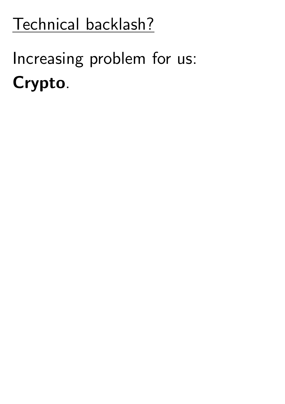# Increasing problem for us: Crypto.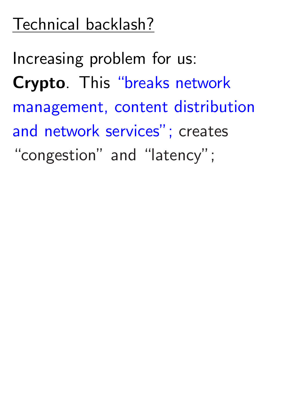Increasing problem for us: Crypto. This ["breaks network](http://www.atis.org/openweballiance/docs/OWAKickoffSlides051414.pdf) [management, content distribution](http://www.atis.org/openweballiance/docs/OWAKickoffSlides051414.pdf) [and network services";](http://www.atis.org/openweballiance/docs/OWAKickoffSlides051414.pdf) creates "congestion" and "latency";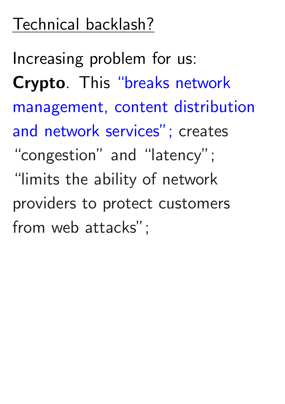Increasing problem for us: Crypto. This ["breaks network](http://www.atis.org/openweballiance/docs/OWAKickoffSlides051414.pdf) [management, content distribution](http://www.atis.org/openweballiance/docs/OWAKickoffSlides051414.pdf) [and network services";](http://www.atis.org/openweballiance/docs/OWAKickoffSlides051414.pdf) creates "congestion" and "latency"; "limits the ability of network providers to protect customers from web attacks";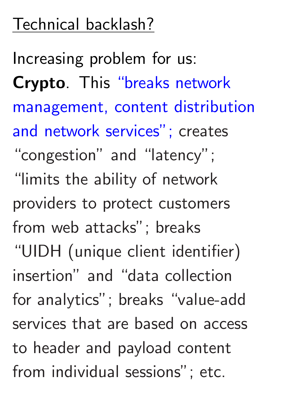Increasing problem for us: Crypto. This ["breaks network](http://www.atis.org/openweballiance/docs/OWAKickoffSlides051414.pdf) [management, content distribution](http://www.atis.org/openweballiance/docs/OWAKickoffSlides051414.pdf) [and network services";](http://www.atis.org/openweballiance/docs/OWAKickoffSlides051414.pdf) creates "congestion" and "latency"; "limits the ability of network providers to protect customers from web attacks"; breaks "UIDH (unique client identifier) insertion" and "data collection for analytics"; breaks "value-add services that are based on access to header and payload content from individual sessions"; etc.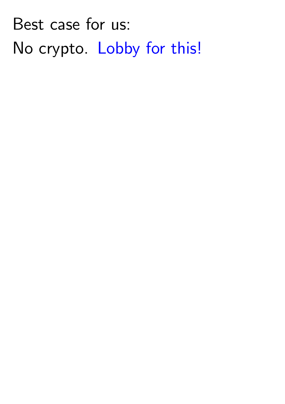Best case for us: No crypto. [Lobby for this!](http://www.tomshardware.com/news/verizon-cisco-microsoft-http2-encryption,28703.html)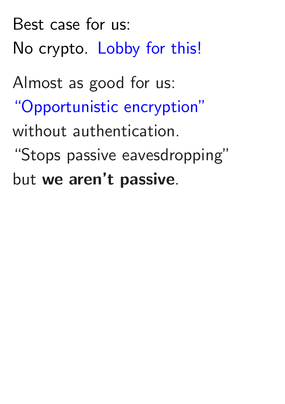Best case for us: No crypto. [Lobby for this!](http://www.tomshardware.com/news/verizon-cisco-microsoft-http2-encryption,28703.html) Almost as good for us: ["Opportunistic encryption"](https://www.ietf.org/mailman/listinfo/tcpinc) without authentication. "Stops passive eavesdropping" but we aren't passive.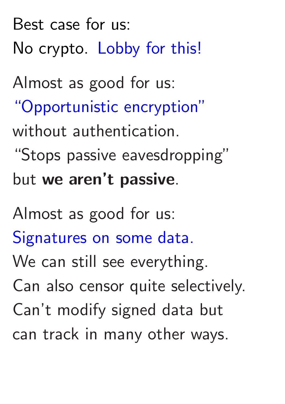Best case for us: No crypto. [Lobby for this!](http://www.tomshardware.com/news/verizon-cisco-microsoft-http2-encryption,28703.html) Almost as good for us: ["Opportunistic encryption"](https://www.ietf.org/mailman/listinfo/tcpinc) without authentication. "Stops passive eavesdropping" but we aren't passive.

Almost as good for us: [Signatures on some data.](http://www.dnssec.net/) We can still see everything. Can also censor quite selectively. Can't modify signed data but can track in many other ways.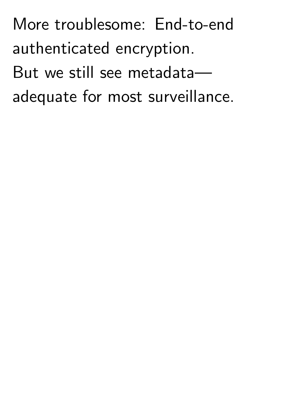More troublesome: End-to-end authenticated encryption. But we still see metadata adequate for most surveillance.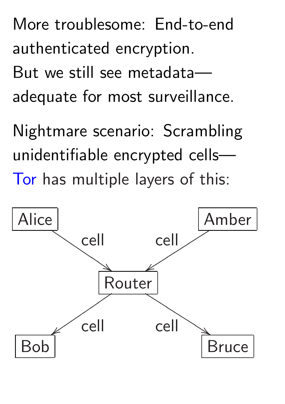More troublesome: End-to-end authenticated encryption. But we still see metadata adequate for most surveillance.

Nightmare scenario: Scrambling unidentifiable encrypted cells— [Tor](https://www.torproject.org/) has multiple layers of this:

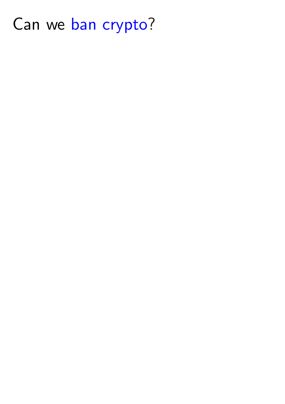#### Can we [ban crypto](http://www.dailydot.com/politics/second-crypto-war-hearing-washington/)?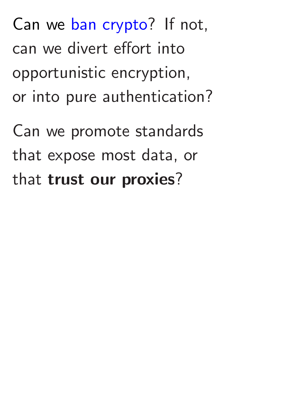Can we promote standards that expose most data, or that trust our proxies?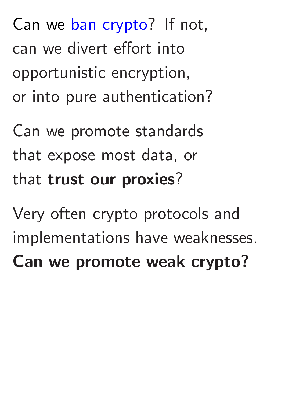Can we promote standards that expose most data, or that trust our proxies?

Very often crypto protocols and implementations have weaknesses. Can we promote weak crypto?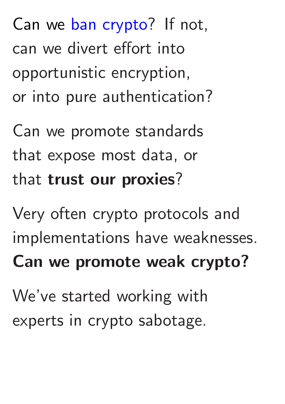Can we promote standards that expose most data, or that trust our proxies?

Very often crypto protocols and implementations have weaknesses. Can we promote weak crypto? We've started working with experts in crypto sabotage.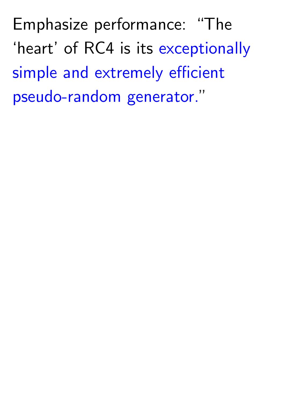Emphasize performance: "The 'heart' of RC4 is its [exceptionally](http://www.emc.com/emc-plus/rsa-labs/historical/rsa-security-response-weaknesses-algorithm-rc4.htm) [simple and extremely efficient](http://www.emc.com/emc-plus/rsa-labs/historical/rsa-security-response-weaknesses-algorithm-rc4.htm) [pseudo-random generator."](http://www.emc.com/emc-plus/rsa-labs/historical/rsa-security-response-weaknesses-algorithm-rc4.htm)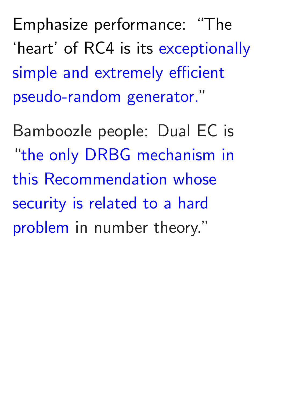Emphasize performance: "The 'heart' of RC4 is its [exceptionally](http://www.emc.com/emc-plus/rsa-labs/historical/rsa-security-response-weaknesses-algorithm-rc4.htm) [simple and extremely efficient](http://www.emc.com/emc-plus/rsa-labs/historical/rsa-security-response-weaknesses-algorithm-rc4.htm) [pseudo-random generator."](http://www.emc.com/emc-plus/rsa-labs/historical/rsa-security-response-weaknesses-algorithm-rc4.htm)

Bamboozle people: Dual EC is "[the only DRBG mechanism in](http://csrc.nist.gov/publications/nistpubs/800-90A/SP800-90A.pdf) [this Recommendation whose](http://csrc.nist.gov/publications/nistpubs/800-90A/SP800-90A.pdf) [security is related to a hard](http://csrc.nist.gov/publications/nistpubs/800-90A/SP800-90A.pdf) [problem](http://csrc.nist.gov/publications/nistpubs/800-90A/SP800-90A.pdf) in number theory."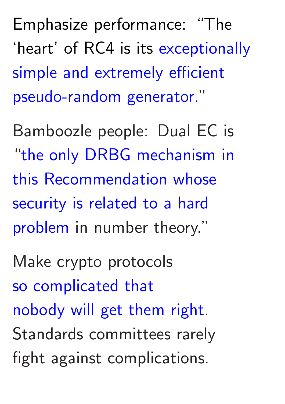Emphasize performance: "The 'heart' of RC4 is its [exceptionally](http://www.emc.com/emc-plus/rsa-labs/historical/rsa-security-response-weaknesses-algorithm-rc4.htm) [simple and extremely efficient](http://www.emc.com/emc-plus/rsa-labs/historical/rsa-security-response-weaknesses-algorithm-rc4.htm) [pseudo-random generator."](http://www.emc.com/emc-plus/rsa-labs/historical/rsa-security-response-weaknesses-algorithm-rc4.htm)

Bamboozle people: Dual EC is "[the only DRBG mechanism in](http://csrc.nist.gov/publications/nistpubs/800-90A/SP800-90A.pdf) [this Recommendation whose](http://csrc.nist.gov/publications/nistpubs/800-90A/SP800-90A.pdf) [security is related to a hard](http://csrc.nist.gov/publications/nistpubs/800-90A/SP800-90A.pdf) [problem](http://csrc.nist.gov/publications/nistpubs/800-90A/SP800-90A.pdf) in number theory."

Make crypto protocols [so complicated that](https://www.smacktls.com/) [nobody will get them right.](https://www.smacktls.com/) Standards committees rarely fight against complications.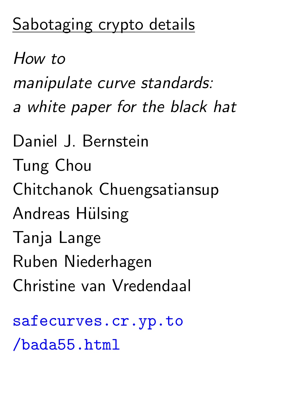#### Sabotaging crypto details

How to manipulate curve standards: a white paper for the black hat Daniel J. Bernstein Tung Chou Chitchanok Chuengsatiansup Andreas Hülsing Tanja Lange Ruben Niederhagen Christine van Vredendaal

[safecurves.cr.yp.to](http://safecurves.cr.yp.to/bada55.html) [/bada55.html](http://safecurves.cr.yp.to/bada55.html)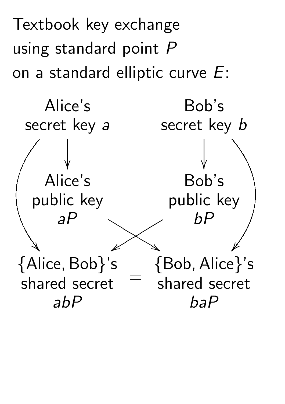Textbook key exchange using standard point *P* on a standard elliptic curve *E*:

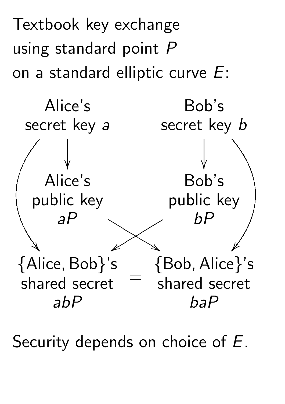Textbook key exchange using standard point *P* on a standard elliptic curve *E*:



Security depends on choice of *E*.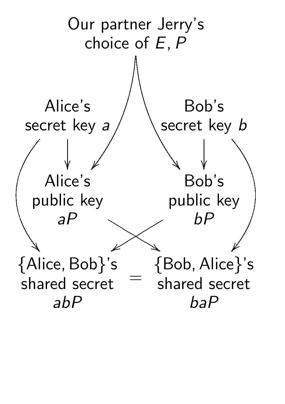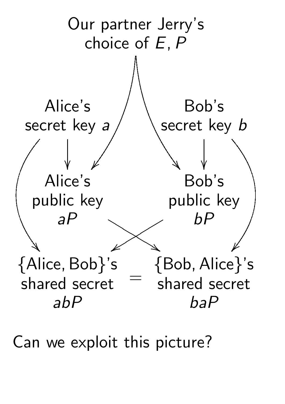

Can we exploit this picture?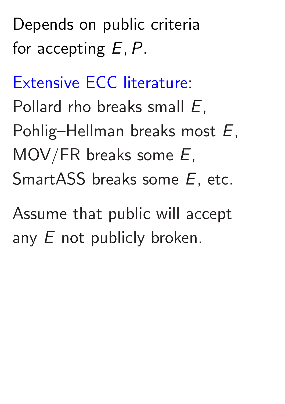[Extensive ECC literature](http://safecurves.cr.yp.to): Pollard rho breaks small *E*, Pohlig–Hellman breaks most *E*, MOV/FR breaks some *E*, SmartASS breaks some *E*, etc.

Assume that public will accept any *E* not publicly broken.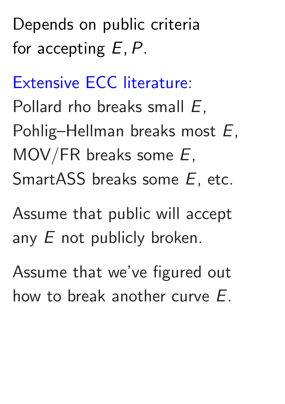[Extensive ECC literature](http://safecurves.cr.yp.to): Pollard rho breaks small *E*, Pohlig–Hellman breaks most *E*, MOV/FR breaks some *E*, SmartASS breaks some *E*, etc.

Assume that public will accept any *E* not publicly broken.

Assume that we've figured out how to break another curve *E*.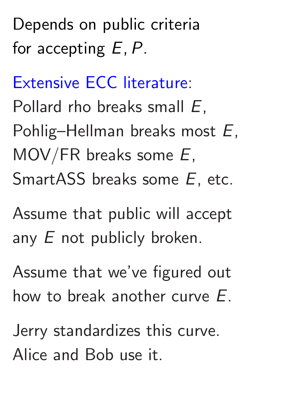[Extensive ECC literature](http://safecurves.cr.yp.to): Pollard rho breaks small *E*, Pohlig–Hellman breaks most *E*, MOV/FR breaks some *E*, SmartASS breaks some *E*, etc.

Assume that public will accept any *E* not publicly broken.

Assume that we've figured out how to break another curve *E*.

Jerry standardizes this curve. Alice and Bob use it.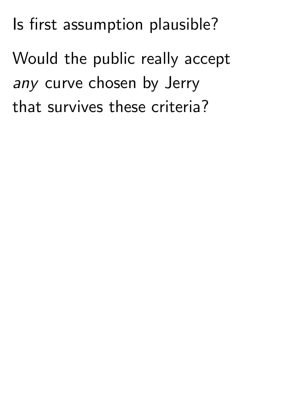Is first assumption plausible?

Would the public really accept any curve chosen by Jerry that survives these criteria?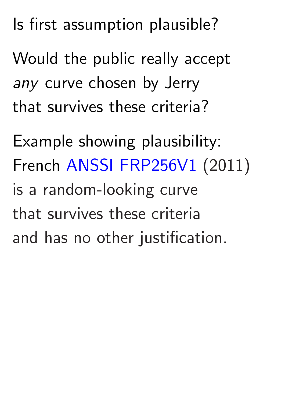Is first assumption plausible?

Would the public really accept any curve chosen by Jerry that survives these criteria?

Example showing plausibility: French [ANSSI FRP256V1](http://www.ssi.gouv.fr/agence/publication/publication-dun-parametrage-de-courbe-elliptique-visant-des-applications-de-passeport-electronique-et-de-ladministration-electronique-francaise/) (2011) is a random-looking curve that survives these criteria and has no other justification.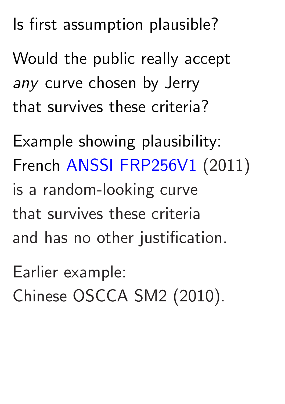Is first assumption plausible?

Would the public really accept any curve chosen by Jerry that survives these criteria?

Example showing plausibility: French [ANSSI FRP256V1](http://www.ssi.gouv.fr/agence/publication/publication-dun-parametrage-de-courbe-elliptique-visant-des-applications-de-passeport-electronique-et-de-ladministration-electronique-francaise/) (2011) is a random-looking curve that survives these criteria and has no other justification.

Earlier example: Chinese OSCCA SM2 (2010).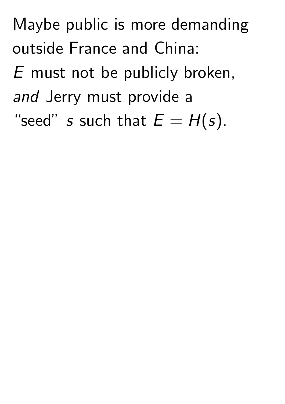Maybe public is more demanding outside France and China:

*E* must not be publicly broken, and Jerry must provide a

"seed" *s* such that  $E = H(s)$ .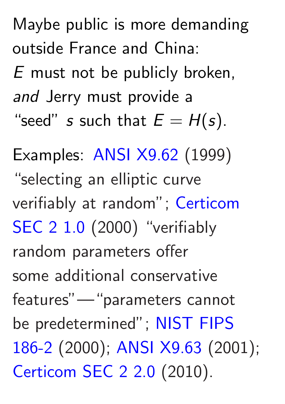Maybe public is more demanding outside France and China:

*E* must not be publicly broken, and Jerry must provide a "seed" *s* such that  $E = H(s)$ .

Examples: [ANSI X9.62](http://grouper.ieee.org/groups/1363/Research/Other.html) (1999) "selecting an elliptic curve verifiably at random"; [Certicom](http://www.secg.org/SEC2-Ver-1.0.pdf) [SEC 2 1.0](http://www.secg.org/SEC2-Ver-1.0.pdf) (2000) "verifiably random parameters offer some additional conservative features"—"parameters cannot be predetermined"; [NIST FIPS](http://csrc.nist.gov/publications/fips/archive/fips186-2/fips186-2.pdf) [186-2](http://csrc.nist.gov/publications/fips/archive/fips186-2/fips186-2.pdf) (2000); [ANSI X9.63](http://grouper.ieee.org/groups/1363/Research/Other.html) (2001); [Certicom SEC 2 2.0](http://www.secg.org/sec2-v2.pdf) (2010).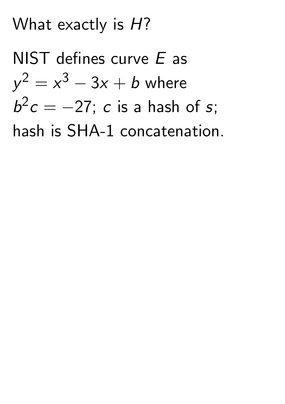#### What exactly is *H*?

NIST defines curve *E* as  $y^2 = x^3 - 3x + b$  where  $b^2c = -27$ ; *c* is a hash of *s*; hash is SHA-1 concatenation.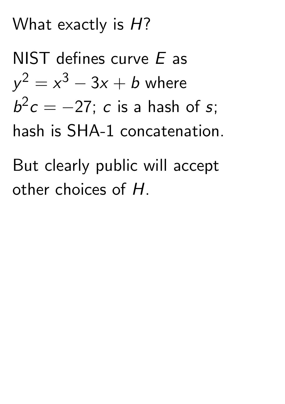#### What exactly is *H*?

NIST defines curve *E* as  $y^2 = x^3 - 3x + b$  where  $b^2c = -27$ ; *c* is a hash of *s*; hash is SHA-1 concatenation.

But clearly public will accept other choices of *H*.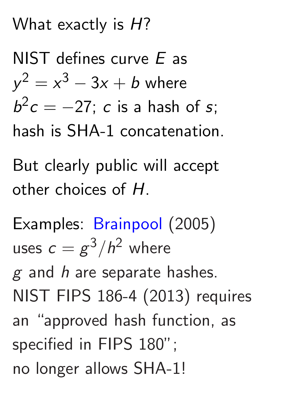#### What exactly is *H*?

NIST defines curve *E* as  $y^2 = x^3 - 3x + b$  where  $b^2c = -27$ ; *c* is a hash of *s*; hash is SHA-1 concatenation.

But clearly public will accept other choices of *H*.

Examples: [Brainpool](http://www.ecc-brainpool.org/download/Domain-parameters.pdf) (2005) uses  $c = g^3/h^2$  where *g* and *h* are separate hashes. NIST FIPS 186-4 (2013) requires an "approved hash function, as specified in FIPS 180"; no longer allows SHA-1!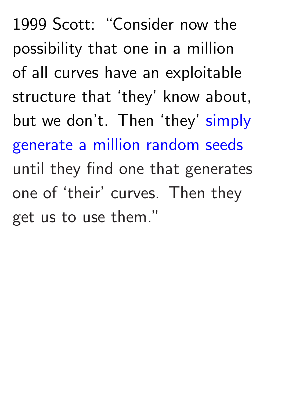1999 Scott: "Consider now the possibility that one in a million of all curves have an exploitable structure that 'they' know about, but we don't. Then 'they' [simply](https://groups.google.com/forum/message/raw?msg=sci.crypt/mFMukSsORmI/FpbHDQ6hM_MJ) [generate a million random seeds](https://groups.google.com/forum/message/raw?msg=sci.crypt/mFMukSsORmI/FpbHDQ6hM_MJ) until they find one that generates one of 'their' curves. Then they get us to use them."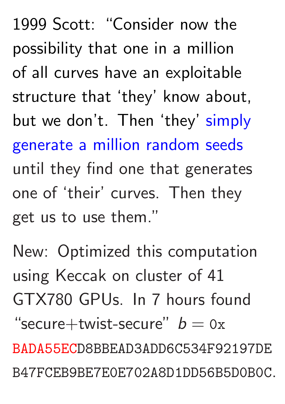1999 Scott: "Consider now the possibility that one in a million of all curves have an exploitable structure that 'they' know about, but we don't. Then 'they' [simply](https://groups.google.com/forum/message/raw?msg=sci.crypt/mFMukSsORmI/FpbHDQ6hM_MJ) [generate a million random seeds](https://groups.google.com/forum/message/raw?msg=sci.crypt/mFMukSsORmI/FpbHDQ6hM_MJ) until they find one that generates one of 'their' curves. Then they get us to use them."

New: Optimized this computation using Keccak on cluster of 41 GTX780 GPUs. In 7 hours found  $"secure+twist-secure"$   $b = 0x$ BADA55ECD8BBEAD3ADD6C534F92197DE B47FCEB9BE7E0E702A8D1DD56B5D0B0C.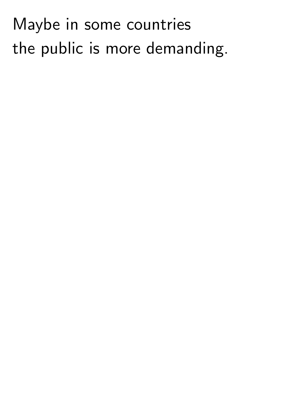# Maybe in some countries the public is more demanding.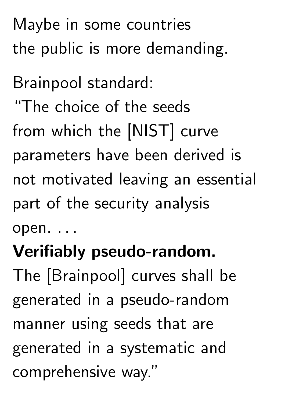Maybe in some countries the public is more demanding.

Brainpool standard: "The choice of the seeds from which the [NIST] curve parameters have been derived is not motivated leaving an essential part of the security analysis open. *: : :*

# Verifiably pseudo-random.

The [Brainpool] curves shall be generated in a pseudo-random manner using seeds that are generated in a systematic and comprehensive way."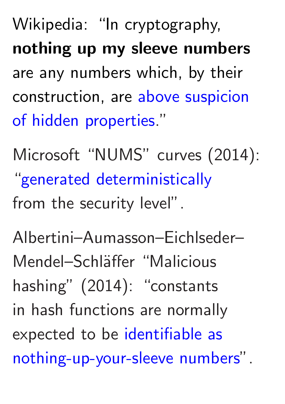Wikipedia: "In cryptography, nothing up my sleeve numbers are any numbers which, by their construction, are [above suspicion](https://en.wikipedia.org/wiki/Nothing_up_my_sleeve_number) [of hidden properties](https://en.wikipedia.org/wiki/Nothing_up_my_sleeve_number)."

Microsoft "NUMS" curves (2014): "[generated deterministically](https://www.ietf.org/proceedings/90/slides/slides-90-cfrg-5.pdf) from the security level".

Albertini–Aumasson–Eichlseder– Mendel–Schläffer "Malicious hashing" (2014): "constants in hash functions are normally expected to be [identifiable as](https://eprint.iacr.org/2014/694.pdf) [nothing-up-your-sleeve numbers"](https://eprint.iacr.org/2014/694.pdf).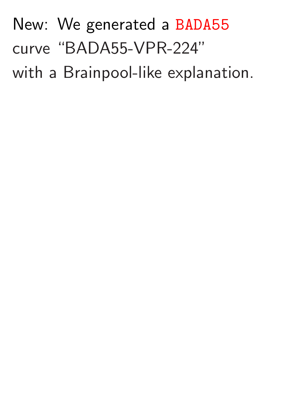# New: We generated a BADA55 curve "BADA55-VPR-224" with a Brainpool-like explanation.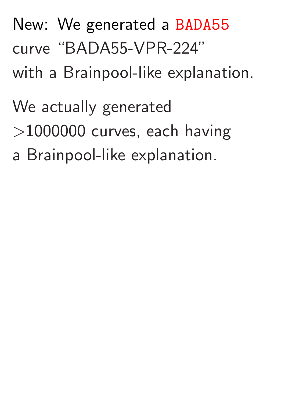# New: We generated a BADA55 curve "BADA55-VPR-224"

with a Brainpool-like explanation.

#### We actually generated

- *>*1000000 curves, each having
- a Brainpool-like explanation.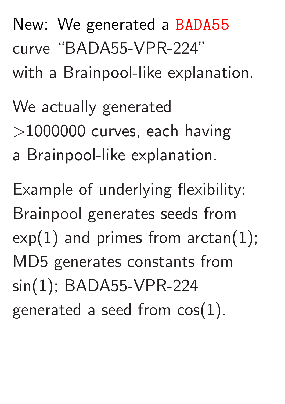# New: We generated a BADA55 curve "BADA55-VPR-224"

with a Brainpool-like explanation.

# We actually generated *>*1000000 curves, each having

a Brainpool-like explanation.

Example of underlying flexibility: Brainpool generates seeds from  $exp(1)$  and primes from arctan(1); MD5 generates constants from sin(1); BADA55-VPR-224 generated a seed from cos(1).